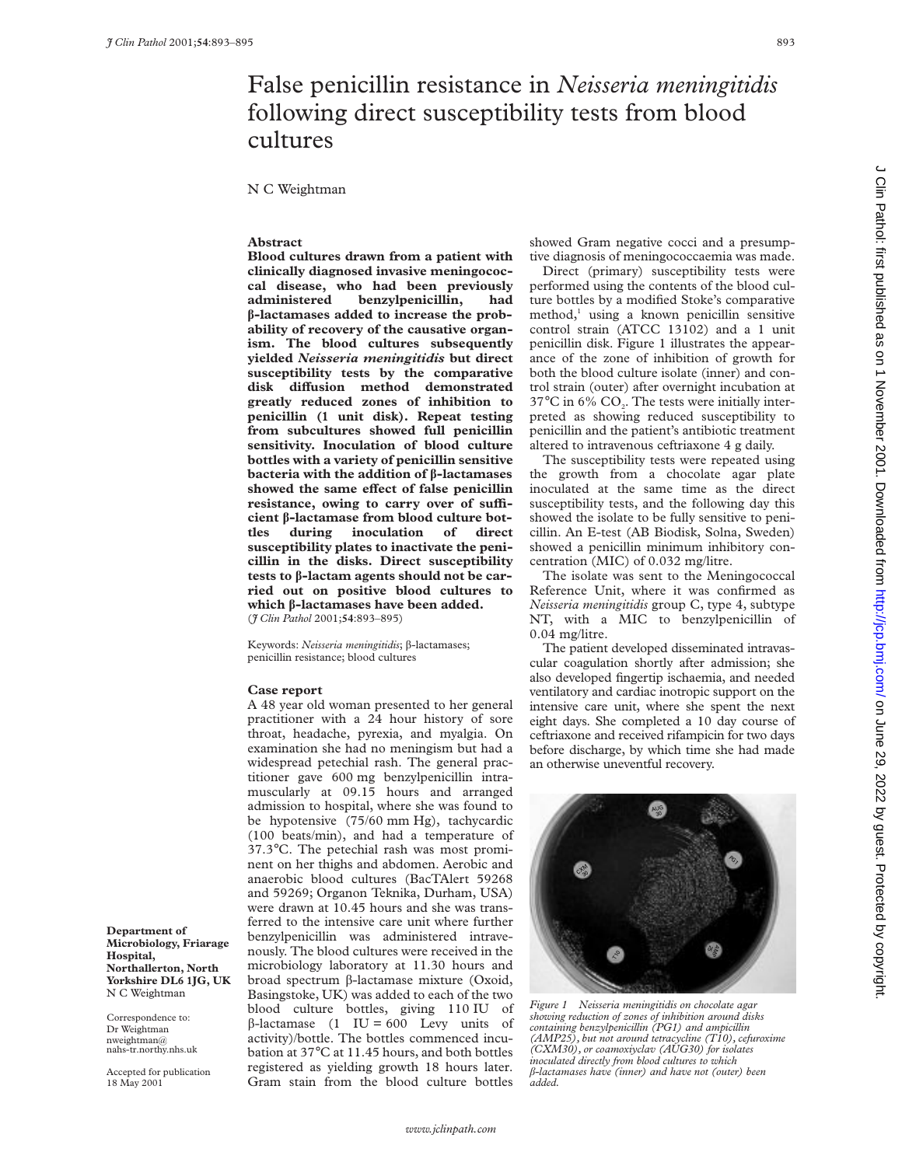## False penicillin resistance in *Neisseria meningitidis* following direct susceptibility tests from blood cultures

N C Weightman

#### **Abstract**

**Blood cultures drawn from a patient with clinically diagnosed invasive meningococcal disease, who had been previously** benzylpenicillin, had **â-lactamases added to increase the probability of recovery of the causative organism. The blood cultures subsequently yielded** *Neisseria meningitidis* **but direct susceptibility tests by the comparative** disk diffusion method demonstrated **greatly reduced zones of inhibition to penicillin (1 unit disk). Repeat testing from subcultures showed full penicillin sensitivity. Inoculation of blood culture bottles with a variety of penicillin sensitive bacteria with the addition of â-lactamases** showed the same effect of false penicillin resistance, owing to carry over of suffi**cient â-lactamase from blood culture bottles during inoculation of direct susceptibility plates to inactivate the penicillin in the disks. Direct susceptibility tests to â-lactam agents should not be carried out on positive blood cultures to which â-lactamases have been added.** (*J Clin Pathol* 2001;**54**:893–895)

Keywords: *Neisseria meningitidis*; â-lactamases; penicillin resistance; blood cultures

#### **Case report**

A 48 year old woman presented to her general practitioner with a 24 hour history of sore throat, headache, pyrexia, and myalgia. On examination she had no meningism but had a widespread petechial rash. The general practitioner gave 600 mg benzylpenicillin intramuscularly at 09.15 hours and arranged admission to hospital, where she was found to be hypotensive (75/60 mm Hg), tachycardic (100 beats/min), and had a temperature of 37.3°C. The petechial rash was most prominent on her thighs and abdomen. Aerobic and anaerobic blood cultures (BacTAlert 59268 and 59269; Organon Teknika, Durham, USA) were drawn at 10.45 hours and she was transferred to the intensive care unit where further benzylpenicillin was administered intravenously. The blood cultures were received in the microbiology laboratory at 11.30 hours and broad spectrum  $\beta$ -lactamase mixture (Oxoid, Basingstoke, UK) was added to each of the two blood culture bottles, giving 110 IU of  $\beta$ -lactamase (1 IU = 600 Levy units of activity)/bottle. The bottles commenced incubation at 37°C at 11.45 hours, and both bottles registered as yielding growth 18 hours later. Gram stain from the blood culture bottles

showed Gram negative cocci and a presumptive diagnosis of meningococcaemia was made.

Direct (primary) susceptibility tests were performed using the contents of the blood culture bottles by a modified Stoke's comparative  $method<sub>1</sub><sup>1</sup>$  using a known penicillin sensitive control strain (ATCC 13102) and a 1 unit penicillin disk. Figure 1 illustrates the appearance of the zone of inhibition of growth for both the blood culture isolate (inner) and control strain (outer) after overnight incubation at  $37^{\circ}$ C in 6% CO<sub>2</sub>. The tests were initially interpreted as showing reduced susceptibility to penicillin and the patient's antibiotic treatment altered to intravenous ceftriaxone 4 g daily.

The susceptibility tests were repeated using the growth from a chocolate agar plate inoculated at the same time as the direct susceptibility tests, and the following day this showed the isolate to be fully sensitive to penicillin. An E-test (AB Biodisk, Solna, Sweden) showed a penicillin minimum inhibitory concentration (MIC) of 0.032 mg/litre.

The isolate was sent to the Meningococcal Reference Unit, where it was confirmed as *Neisseria meningitidis* group C, type 4, subtype NT, with a MIC to benzylpenicillin of 0.04 mg/litre.

The patient developed disseminated intravascular coagulation shortly after admission; she also developed fingertip ischaemia, and needed ventilatory and cardiac inotropic support on the intensive care unit, where she spent the next eight days. She completed a 10 day course of ceftriaxone and received rifampicin for two days before discharge, by which time she had made an otherwise uneventful recovery.



*Figure 1 Neisseria meningitidis on chocolate agar showing reduction of zones of inhibition around disks containing benzylpenicillin (PG1) and ampicillin (AMP25), but not around tetracycline (T10), cefuroxime (CXM30), or coamoxiyclav (AUG30) for isolates inoculated directly from blood cultures to which* â*-lactamases have (inner) and have not (outer) been added.*

**Department of Microbiology, Friarage Hospital, Northallerton, North Yorkshire DL6 1JG, UK** N C Weightman

Correspondence to: Dr Weightman nweightman@ nahs-tr.northy.nhs.uk

Accepted for publication 18 May 2001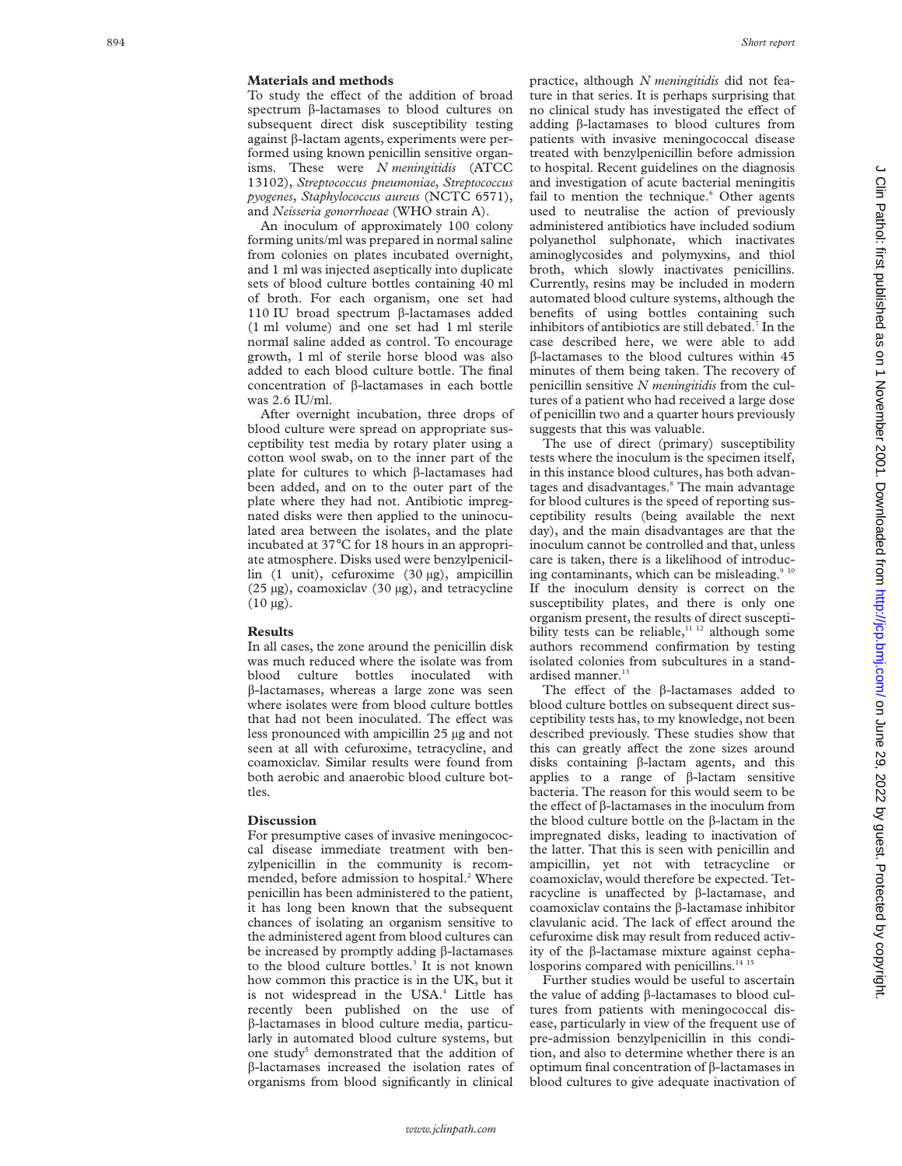#### **Materials and methods**

To study the effect of the addition of broad spectrum β-lactamases to blood cultures on subsequent direct disk susceptibility testing against â-lactam agents, experiments were performed using known penicillin sensitive organisms. These were *N meningitidis* (ATCC 13102), *Streptococcus pneumoniae* , *Streptococcus pyogenes* , *Staphylococcus aureus* (NCTC 6571), and *Neisseria gonorrhoeae* (WHO strain A).

An inoculum of approximately 100 colony forming units/ml was prepared in normal saline from colonies on plates incubated overnight, and 1 ml was injected aseptically into duplicate sets of blood culture bottles containing 40 ml of broth. For each organism, one set had 110 IU broad spectrum â-lactamases added (1 ml volume) and one set had 1 ml sterile normal saline added as control. To encourage growth, 1 ml of sterile horse blood was also added to each blood culture bottle. The final concentration of â-lactamases in each bottle was 2.6 IU/ml.

After overnight incubation, three drops of blood culture were spread on appropriate susceptibility test media by rotary plater using a cotton wool swab, on to the inner part of the plate for cultures to which â-lactamases had been added, and on to the outer part of the plate where they had not. Antibiotic impregnated disks were then applied to the uninoculated area between the isolates, and the plate incubated at 37 °C for 18 hours in an appropriate atmosphere. Disks used were benzylpenicillin (1 unit), cefuroxime (30 µg), ampicillin (25 µg), coamoxiclav (30 µg), and tetracycline  $(10 \mu g)$ .

#### **Results**

In all cases, the zone around the penicillin disk was much reduced where the isolate was from blood culture bottles inoculated with  $\beta$ -lactamases, whereas a large zone was seen where isolates were from blood culture bottles that had not been inoculated. The effect was less pronounced with ampicillin 25 µg and not seen at all with cefuroxime, tetracycline, and coamoxiclav. Similar results were found from both aerobic and anaerobic blood culture bottles.

#### **Discussion**

For presumptive cases of invasive meningococcal disease immediate treatment with benzylpenicillin in the community is recommended, before admission to hospital.<sup>2</sup> Where penicillin has been administered to the patient, it has long been known that the subsequent chances of isolating an organism sensitive to the administered agent from blood cultures can be increased by promptly adding â-lactamases to the blood culture bottles. <sup>3</sup> It is not known how common this practice is in the UK, but it is not widespread in the USA. <sup>4</sup> Little has recently been published on the use of â-lactamases in blood culture media, particularly in automated blood culture systems, but one study <sup>5</sup> demonstrated that the addition of â-lactamases increased the isolation rates of organisms from blood significantly in clinical

practice, although *N meningitidis* did not feature in that series. It is perhaps surprising that no clinical study has investigated the effect of adding â-lactamases to blood cultures from patients with invasive meningococcal disease treated with benzylpenicillin before admission to hospital. Recent guidelines on the diagnosis and investigation of acute bacterial meningitis fail to mention the technique. <sup>6</sup> Other agents used to neutralise the action of previously administered antibiotics have included sodium polyanethol sulphonate, which inactivates aminoglycosides and polymyxins, and thiol broth, which slowly inactivates penicillins. Currently, resins may be included in modern automated blood culture systems, although the benefits of using bottles containing such inhibitors of antibiotics are still debated. <sup>7</sup> In the case described here, we were able to add â-lactamases to the blood cultures within 45 minutes of them being taken. The recovery of penicillin sensitive *N meningitidis* from the cultures of a patient who had received a large dose of penicillin two and a quarter hours previously suggests that this was valuable.

The use of direct (primary) susceptibility tests where the inoculum is the specimen itself, in this instance blood cultures, has both advantages and disadvantages.<sup>8</sup> The main advantage for blood cultures is the speed of reporting susceptibility results (being available the next day), and the main disadvantages are that the inoculum cannot be controlled and that, unless care is taken, there is a likelihood of introducing contaminants, which can be misleading.<sup>9</sup> If the inoculum density is correct on the susceptibility plates, and there is only one organism present, the results of direct susceptibility tests can be reliable,<sup>11 12</sup> although some authors recommend confirmation by testing isolated colonies from subcultures in a standardised manner.<sup>13</sup>

The effect of the  $\beta$ -lactamases added to blood culture bottles on subsequent direct susceptibility tests has, to my knowledge, not been described previously. These studies show that this can greatly affect the zone sizes around disks containing â-lactam agents, and this applies to a range of â-lactam sensitive bacteria. The reason for this would seem to be the effect of  $\beta$ -lactamases in the inoculum from the blood culture bottle on the â-lactam in the impregnated disks, leading to inactivation of the latter. That this is seen with penicillin and ampicillin, yet not with tetracycline or coamoxiclav, would therefore be expected. Tetracycline is unaffected by  $\beta$ -lactamase, and coamoxiclav contains the â-lactamase inhibitor clavulanic acid. The lack of effect around the cefuroxime disk may result from reduced activity of the  $\beta$ -lactamase mixture against cephalosporins compared with penicillins.<sup>14 15</sup>

Further studies would be useful to ascertain the value of adding â-lactamases to blood cultures from patients with meningococcal disease, particularly in view of the frequent use of pre-admission benzylpenicillin in this condition, and also to determine whether there is an optimum final concentration of â-lactamases in blood cultures to give adequate inactivation of